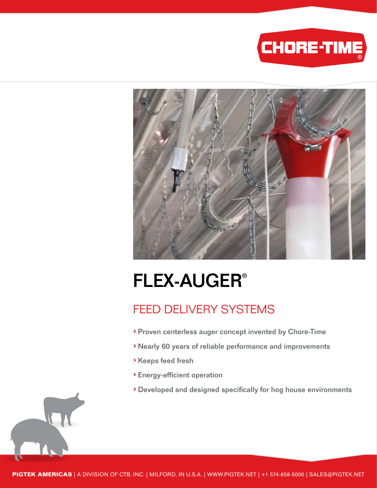



# FLEX-AUGER®

### FEED DELIVERY SYSTEMS

- › Proven centerless auger concept invented by Chore-Time
- › Nearly 60 years of reliable performance and improvements
- › Keeps feed fresh
- › Energy-efficient operation
- › Developed and designed specifically for hog house environments

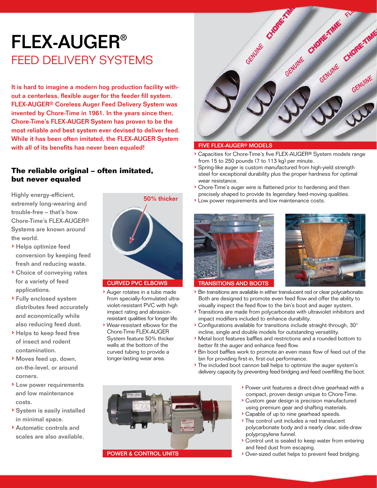## FLEX-AUGER® FEED DELIVERY SYSTEMS

It is hard to imagine a modern hog production facility without a centerless, flexible auger for the feeder fill system. FLEX-AUGER® Coreless Auger Feed Delivery System was invented by Chore-Time in 1961. In the years since then, Chore-Time's FLEX-AUGER System has proven to be the most reliable and best system ever devised to deliver feed. While it has been often imitated, the FLEX-AUGER System with all of its benefits has never been equaled!

### **The reliable original – often imitated, but never equaled**

Highly energy-efficient, extremely long-wearing and trouble-free – that's how Chore-Time's FLEX-AUGER® Systems are known around the world.

- › Helps optimize feed conversion by keeping feed fresh and reducing waste.
- › Choice of conveying rates for a variety of feed applications.
- › Fully enclosed system distributes feed accurately and economically while also reducing feed dust.
- › Helps to keep feed free of insect and rodent contamination.
- › Moves feed up, down, on-the-level, or around corners.
- › Low power requirements and low maintenance costs.
- › System is easily installed in minimal space.
- › Automatic controls and scales are also available.



### CURVED PVC ELBOWS

- › Auger rotates in a tube made from specially-formulated ultraviolet-resistant PVC with high impact rating and abrasionresistant qualities for longer life.
- › Wear-resistant elbows for the Chore-Time FLEX-AUGER System feature 50% thicker walls at the bottom of the curved tubing to provide a longer-lasting wear area.



### FIVE FLEX-AUGER® MODELS

- › Capacities for Chore-Time's five FLEX-AUGER® System models range from 15 to 250 pounds (7 to 113 kg) per minute.
- › Spring-like auger is custom manufactured from high-yield strength steel for exceptional durability plus the proper hardness for optimal wear resistance.
- › Chore-Time's auger wire is flattened prior to hardening and then precisely shaped to provide its legendary feed-moving qualities.
- › Low power requirements and low maintenance costs.





- TRANSITIONS AND BOOTS
- › Bin transitions are available in either translucent red or clear polycarbonate. Both are designed to promote even feed flow and offer the ability to visually inspect the feed flow to the bin's boot and auger system.
- › Transitions are made from polycarbonate with ultraviolet inhibitors and impact modifiers included to enhance durability.
- › Configurations available for transitions include straight-through, 30° incline, single and double models for outstanding versatility.
- › Metal boot features baffles and restrictions and a rounded bottom to better fit the auger and enhance feed flow.
- › Bin boot baffles work to promote an even mass flow of feed out of the bin for providing first-in, first-out performance.
- › The included boot cannon ball helps to optimize the auger system's delivery capacity by preventing feed bridging and feed overfilling the boot.



- › Custom gear design is precision manufactured using premium gear and shafting materials.
- › Capable of up to nine gearhead speeds.
- › The control unit includes a red translucent polycarbonate body and a nearly clear, side-draw polypropylene funnel.
- › Control unit is sealed to keep water from entering and feed dust from escaping.
- › Over-sized outlet helps to prevent feed bridging.

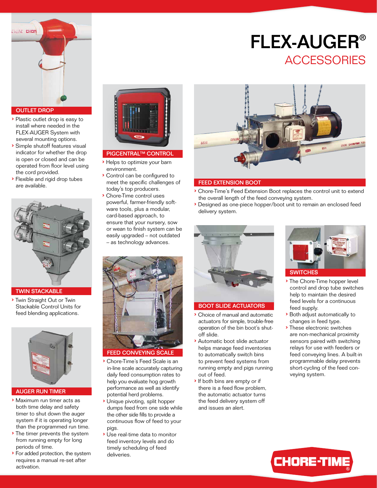

- › Plastic outlet drop is easy to install where needed in the FLEX-AUGER System with several mounting options.
- › Simple shutoff features visual indicator for whether the drop is open or closed and can be operated from floor level using the cord provided.
- › Flexible and rigid drop tubes are available.



### TWIN STACKABLE

› Twin Straight Out or Twin Stackable Control Units for feed blending applications.



#### AUGER RUN TIMER

- › Maximum run timer acts as both time delay and safety timer to shut down the auger system if it is operating longer than the programmed run time.
- › The timer prevents the system from running empty for long periods of time.
- › For added protection, the system requires a manual re-set after activation.



### PIGCENTRAL™ CONTROL<br>▶ Helps to optimize your barn

- environment.
- › Control can be configured to meet the specific challenges of today's top producers.
- › Chore-Time control uses powerful, farmer-friendly software tools, plus a modular, card-based approach, to ensure that your nursery, sow or wean to finish system can be easily upgraded – not outdated – as technology advances.



- › Chore-Time's Feed Scale is an in-line scale accurately capturing daily feed consumption rates to help you evaluate hog growth performance as well as identify potential herd problems.
- › Unique pivoting, split hopper dumps feed from one side while the other side fills to provide a continuous flow of feed to your pigs.
- › Use real-time data to monitor feed inventory levels and do timely scheduling of feed deliveries.



FLEX-AUGER®

**ACCESSORIES** 

#### FEED EXTENSION BOOT

- › Chore-Time's Feed Extension Boot replaces the control unit to extend the overall length of the feed conveying system.
- › Designed as one-piece hopper/boot unit to remain an enclosed feed delivery system.



#### BOOT SLIDE ACTUATORS

- › Choice of manual and automatic actuators for simple, trouble-free operation of the bin boot's shutoff slide.
- › Automatic boot slide actuator helps manage feed inventories to automatically switch bins to prevent feed systems from running empty and pigs running out of feed.
- › If both bins are empty or if there is a feed flow problem, the automatic actuator turns the feed delivery system off and issues an alert.



- › The Chore-Time hopper level control and drop tube switches help to maintain the desired feed levels for a continuous feed supply.
- › Both adjust automatically to changes in feed type.
- › These electronic switches are non-mechanical proximity sensors paired with switching relays for use with feeders or feed conveying lines. A built-in programmable delay prevents short-cycling of the feed conveying system.